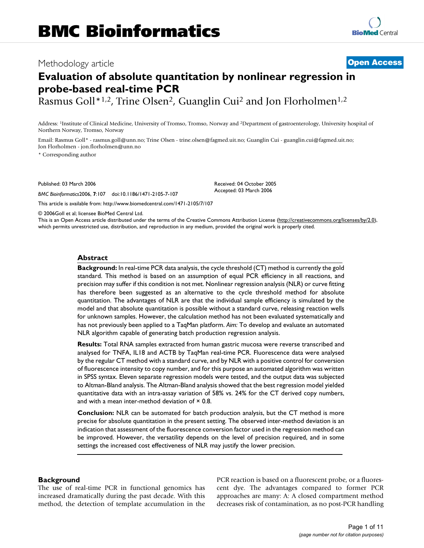## Methodology article **[Open Access](http://www.biomedcentral.com/info/about/charter/)**

# **Evaluation of absolute quantitation by nonlinear regression in probe-based real-time PCR**

Rasmus Goll\*<sup>1,2</sup>, Trine Olsen<sup>2</sup>, Guanglin Cui<sup>2</sup> and Jon Florholmen<sup>1,2</sup>

Address: <sup>1</sup>Institute of Clinical Medicine, University of Tromso, Tromso, Norway and <sup>2</sup>Department of gastroenterology, University hospital of Northern Norway, Tromso, Norway

Email: Rasmus Goll\* - rasmus.goll@unn.no; Trine Olsen - trine.olsen@fagmed.uit.no; Guanglin Cui - guanglin.cui@fagmed.uit.no; Jon Florholmen - jon.florholmen@unn.no

\* Corresponding author

Published: 03 March 2006

*BMC Bioinformatics*2006, **7**:107 doi:10.1186/1471-2105-7-107

[This article is available from: http://www.biomedcentral.com/1471-2105/7/107](http://www.biomedcentral.com/1471-2105/7/107)

Accepted: 03 March 2006

Received: 04 October 2005

© 2006Goll et al; licensee BioMed Central Ltd.

This is an Open Access article distributed under the terms of the Creative Commons Attribution License [\(http://creativecommons.org/licenses/by/2.0\)](http://creativecommons.org/licenses/by/2.0), which permits unrestricted use, distribution, and reproduction in any medium, provided the original work is properly cited.

#### **Abstract**

**Background:** In real-time PCR data analysis, the cycle threshold (CT) method is currently the gold standard. This method is based on an assumption of equal PCR efficiency in all reactions, and precision may suffer if this condition is not met. Nonlinear regression analysis (NLR) or curve fitting has therefore been suggested as an alternative to the cycle threshold method for absolute quantitation. The advantages of NLR are that the individual sample efficiency is simulated by the model and that absolute quantitation is possible without a standard curve, releasing reaction wells for unknown samples. However, the calculation method has not been evaluated systematically and has not previously been applied to a TaqMan platform. *Aim:* To develop and evaluate an automated NLR algorithm capable of generating batch production regression analysis.

**Results:** Total RNA samples extracted from human gastric mucosa were reverse transcribed and analysed for TNFA, IL18 and ACTB by TaqMan real-time PCR. Fluorescence data were analysed by the regular CT method with a standard curve, and by NLR with a positive control for conversion of fluorescence intensity to copy number, and for this purpose an automated algorithm was written in SPSS syntax. Eleven separate regression models were tested, and the output data was subjected to Altman-Bland analysis. The Altman-Bland analysis showed that the best regression model yielded quantitative data with an intra-assay variation of 58% vs. 24% for the CT derived copy numbers, and with a mean inter-method deviation of  $\times$  0.8.

**Conclusion:** NLR can be automated for batch production analysis, but the CT method is more precise for absolute quantitation in the present setting. The observed inter-method deviation is an indication that assessment of the fluorescence conversion factor used in the regression method can be improved. However, the versatility depends on the level of precision required, and in some settings the increased cost effectiveness of NLR may justify the lower precision.

### **Background**

The use of real-time PCR in functional genomics has increased dramatically during the past decade. With this method, the detection of template accumulation in the PCR reaction is based on a fluorescent probe, or a fluorescent dye. The advantages compared to former PCR approaches are many: A: A closed compartment method decreases risk of contamination, as no post-PCR handling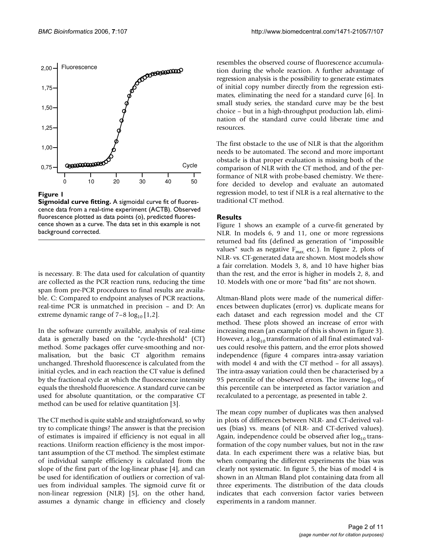

**Figure 1** 

**Sigmoidal curve fitting.** A sigmoidal curve fit of fluorescence data from a real-time experiment (ACTB). Observed fluorescence plotted as data points (o), predicted fluorescence shown as a curve. The data set in this example is not background corrected.

is necessary. B: The data used for calculation of quantity are collected as the PCR reaction runs, reducing the time span from pre-PCR procedures to final results are available. C: Compared to endpoint analyses of PCR reactions, real-time PCR is unmatched in precision – and D: An extreme dynamic range of  $7-8 \log_{10} [1,2]$ .

In the software currently available, analysis of real-time data is generally based on the "cycle-threshold" (CT) method. Some packages offer curve-smoothing and normalisation, but the basic CT algorithm remains unchanged. Threshold fluorescence is calculated from the initial cycles, and in each reaction the CT value is defined by the fractional cycle at which the fluorescence intensity equals the threshold fluorescence. A standard curve can be used for absolute quantitation, or the comparative CT method can be used for relative quantitation [3].

The CT method is quite stable and straightforward, so why try to complicate things? The answer is that the precision of estimates is impaired if efficiency is not equal in all reactions. Uniform reaction efficiency is the most important assumption of the CT method. The simplest estimate of individual sample efficiency is calculated from the slope of the first part of the log-linear phase [4], and can be used for identification of outliers or correction of values from individual samples. The sigmoid curve fit or non-linear regression (NLR) [5], on the other hand, assumes a dynamic change in efficiency and closely resembles the observed course of fluorescence accumulation during the whole reaction. A further advantage of regression analysis is the possibility to generate estimates of initial copy number directly from the regression estimates, eliminating the need for a standard curve [6]. In small study series, the standard curve may be the best choice – but in a high-throughput production lab, elimination of the standard curve could liberate time and resources.

The first obstacle to the use of NLR is that the algorithm needs to be automated. The second and more important obstacle is that proper evaluation is missing both of the comparison of NLR with the CT method, and of the performance of NLR with probe-based chemistry. We therefore decided to develop and evaluate an automated regression model, to test if NLR is a real alternative to the traditional CT method.

### **Results**

Figure 1 shows an example of a curve-fit generated by NLR. In models 6, 9 and 11, one or more regressions returned bad fits (defined as generation of "impossible values" such as negative F*max*, etc.). In figure 2, plots of NLR- vs. CT-generated data are shown. Most models show a fair correlation. Models 3, 8, and 10 have higher bias than the rest, and the error is higher in models 2, 8, and 10. Models with one or more "bad fits" are not shown.

Altman-Bland plots were made of the numerical differences between duplicates (error) vs. duplicate means for each dataset and each regression model and the CT method. These plots showed an increase of error with increasing mean (an example of this is shown in figure 3). However, a  $log_{10}$  transformation of all final estimated values could resolve this pattern, and the error plots showed independence (figure 4 compares intra-assay variation with model 4 and with the CT method – for all assays). The intra-assay variation could then be characterised by a 95 percentile of the observed errors. The inverse  $log_{10}$  of this percentile can be interpreted as factor variation and recalculated to a percentage, as presented in table 2.

The mean copy number of duplicates was then analysed in plots of differences between NLR- and CT-derived values (bias) vs. means (of NLR- and CT-derived values). Again, independence could be observed after  $log_{10}$  transformation of the copy number values, but not in the raw data. In each experiment there was a relative bias, but when comparing the different experiments the bias was clearly not systematic. In figure 5, the bias of model 4 is shown in an Altman Bland plot containing data from all three experiments. The distribution of the data clouds indicates that each conversion factor varies between experiments in a random manner.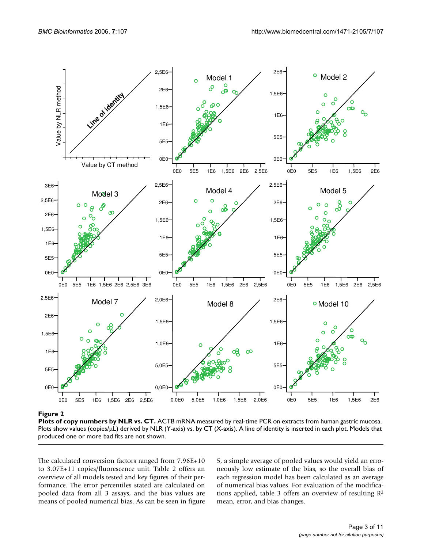

**Plots of copy numbers by NLR vs. CT.** ACTB mRNA measured by real-time PCR on extracts from human gastric mucosa. Plots show values (copies/µL) derived by NLR (Y-axis) vs. by CT (X-axis). A line of identity is inserted in each plot. Models that produced one or more bad fits are not shown.

The calculated conversion factors ranged from 7.96E+10 to 3.07E+11 copies/fluorescence unit. Table 2 offers an overview of all models tested and key figures of their performance. The error percentiles stated are calculated on pooled data from all 3 assays, and the bias values are means of pooled numerical bias. As can be seen in figure 5, a simple average of pooled values would yield an erroneously low estimate of the bias, so the overall bias of each regression model has been calculated as an average of numerical bias values. For evaluation of the modifications applied, table 3 offers an overview of resulting R2 mean, error, and bias changes.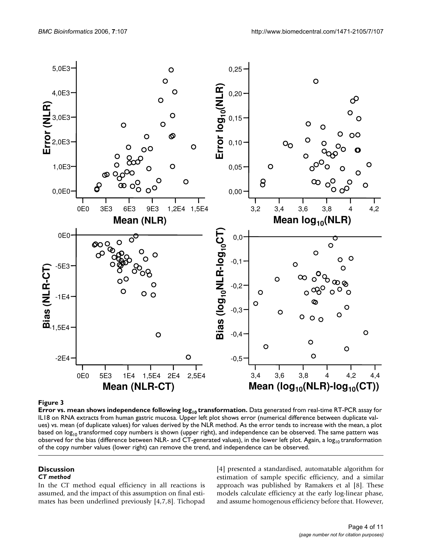

**Error vs. mean shows independence following log<sub>10</sub> transformation.** Data generated from real-time RT-PCR assay for IL18 on RNA extracts from human gastric mucosa. Upper left plot shows error (numerical difference between duplicate values) vs. mean (of duplicate values) for values derived by the NLR method. As the error tends to increase with the mean, a plot based on  $log_{10}$  transformed copy numbers is shown (upper right), and independence can be observed. The same pattern was observed for the bias (difference between NLR- and CT-generated values), in the lower left plot. Again, a  $log_{10}$  transformation of the copy number values (lower right) can remove the trend, and independence can be observed.

### **Discussion**

### *CT method*

In the CT method equal efficiency in all reactions is assumed, and the impact of this assumption on final estimates has been underlined previously [4,7,8]. Tichopad

[4] presented a standardised, automatable algorithm for estimation of sample specific efficiency, and a similar approach was published by Ramakers et al [8]. These models calculate efficiency at the early log-linear phase, and assume homogenous efficiency before that. However,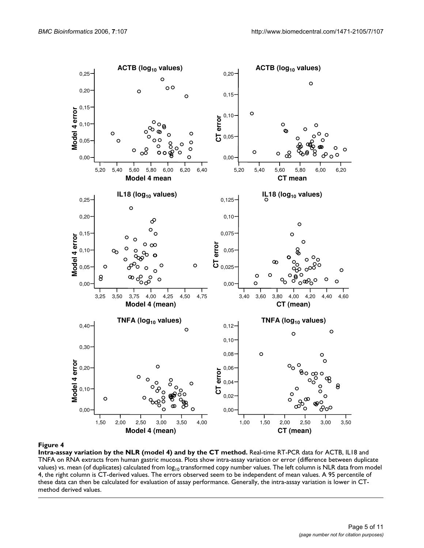

**Intra-assay variation by the NLR (model 4) and by the CT method.** Real-time RT-PCR data for ACTB, IL18 and TNFA on RNA extracts from human gastric mucosa. Plots show intra-assay variation or error (difference between duplicate values) vs. mean (of duplicates) calculated from  $log_{10}$  transformed copy number values. The left column is NLR data from model 4, the right column is CT-derived values. The errors observed seem to be independent of mean values. A 95 percentile of these data can then be calculated for evaluation of assay performance. Generally, the intra-assay variation is lower in CTmethod derived values.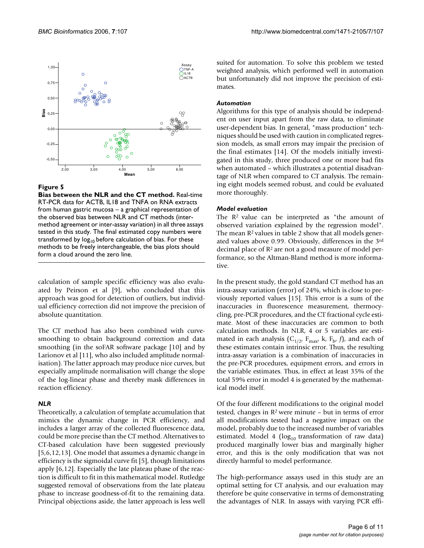

**Bias between the NLR and the CT method.** Real-time RT-PCR data for ACTB, IL18 and TNFA on RNA extracts from human gastric mucosa – a graphical representation of the observed bias between NLR and CT methods (intermethod agreement or inter-assay variation) in all three assays tested in this study. The final estimated copy numbers were transformed by  $log_{10}$  before calculation of bias. For these methods to be freely interchangeable, the bias plots should form a cloud around the zero line.

calculation of sample specific efficiency was also evaluated by Peirson et al [9], who concluded that this approach was good for detection of outliers, but individual efficiency correction did not improve the precision of absolute quantitation.

The CT method has also been combined with curvesmoothing to obtain background correction and data smoothing (in the soFAR software package [10] and by Larionov et al [11], who also included amplitude normalisation). The latter approach may produce nice curves, but especially amplitude normalisation will change the slope of the log-linear phase and thereby mask differences in reaction efficiency.

### *NLR*

Theoretically, a calculation of template accumulation that mimics the dynamic change in PCR efficiency, and includes a larger array of the collected fluorescence data, could be more precise than the CT method. Alternatives to CT-based calculation have been suggested previously [5,6,12,13]. One model that assumes a dynamic change in efficiency is the sigmoidal curve fit [5], though limitations apply [6,12]. Especially the late plateau phase of the reaction is difficult to fit in this mathematical model. Rutledge suggested removal of observations from the late plateau phase to increase goodness-of-fit to the remaining data. Principal objections aside, the latter approach is less well

suited for automation. To solve this problem we tested weighted analysis, which performed well in automation but unfortunately did not improve the precision of estimates.

### *Automation*

Algorithms for this type of analysis should be independent on user input apart from the raw data, to eliminate user-dependent bias. In general, "mass production" techniques should be used with caution in complicated regression models, as small errors may impair the precision of the final estimates [14]. Of the models initially investigated in this study, three produced one or more bad fits when automated – which illustrates a potential disadvantage of NLR when compared to CT analysis. The remaining eight models seemed robust, and could be evaluated more thoroughly.

### *Model evaluation*

The R<sup>2</sup> value can be interpreted as "the amount of observed variation explained by the regression model". The mean R<sup>2</sup> values in table 2 show that all models generated values above 0.99. Obviously, differences in the 3rd decimal place of R2 are not a good measure of model performance, so the Altman-Bland method is more informative.

In the present study, the gold standard CT method has an intra-assay variation (error) of 24%, which is close to previously reported values [15]. This error is a sum of the inaccuracies in fluorescence measurement, thermocycling, pre-PCR procedures, and the CT fractional cycle estimate. Most of these inaccuracies are common to both calculation methods. In NLR, 4 or 5 variables are estimated in each analysis ( $C_{1/2}$ ,  $F_{\text{max}}$ , k,  $F_{\text{b}}$ , *f*), and each of these estimates contain intrinsic error. Thus, the resulting intra-assay variation is a combination of inaccuracies in the pre-PCR procedures, equipment errors, and errors in the variable estimates. Thus, in effect at least 35% of the total 59% error in model 4 is generated by the mathematical model itself.

Of the four different modifications to the original model tested, changes in  $\mathbb{R}^2$  were minute – but in terms of error all modifications tested had a negative impact on the model, probably due to the increased number of variables estimated. Model 4 ( $log_{10}$  transformation of raw data) produced marginally lower bias and marginally higher error, and this is the only modification that was not directly harmful to model performance.

The high-performance assays used in this study are an optimal setting for CT analysis, and our evaluation may therefore be quite conservative in terms of demonstrating the advantages of NLR. In assays with varying PCR effi-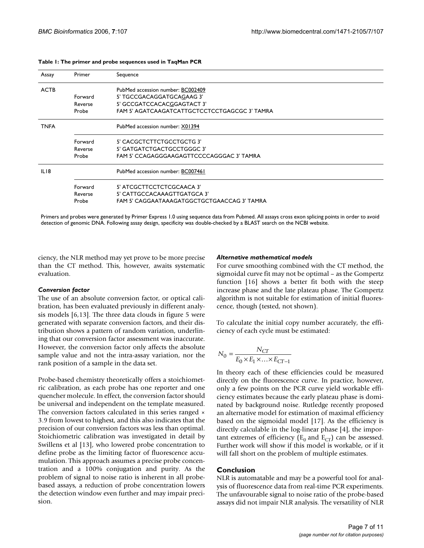| Assay       | Primer  | Sequence                                      |
|-------------|---------|-----------------------------------------------|
| <b>ACTB</b> |         | PubMed accession number: BC002409             |
|             | Forward | 5' TGCCGACAGGATGCAGAAG 3'                     |
|             | Reverse | 5' GCCGATCCACACGGAGTACT 3'                    |
|             | Probe   | FAM 5' AGATCAAGATCATTGCTCCTCCTGAGCGC 3' TAMRA |
| <b>TNFA</b> |         | PubMed accession number: X01394               |
|             | Forward | 5' CACGCTCTTCTGCCTGCTG 3'                     |
|             | Reverse | 5' GATGATCTGACTGCCTGGGC 3'                    |
|             | Probe   | FAM 5' CCAGAGGGAAGAGTTCCCCAGGGAC 3' TAMRA     |
| ILI8        |         | PubMed accession number: BC007461             |
|             | Forward | 5' ATCGCTTCCTCTCGCAACA 3'                     |
|             | Reverse | 5' CATTGCCACAAAGTTGATGCA 3'                   |
|             | Probe   | FAM 5' CAGGAATAAAGATGGCTGCTGAACCAG 3' TAMRA   |

#### **Table 1: The primer and probe sequences used in TaqMan PCR**

Primers and probes were generated by Primer Express 1.0 using sequence data from Pubmed. All assays cross exon splicing points in order to avoid detection of genomic DNA. Following assay design, specificity was double-checked by a BLAST search on the NCBI website.

ciency, the NLR method may yet prove to be more precise than the CT method. This, however, awaits systematic evaluation.

### *Conversion factor*

The use of an absolute conversion factor, or optical calibration, has been evaluated previously in different analysis models [6,13]. The three data clouds in figure 5 were generated with separate conversion factors, and their distribution shows a pattern of random variation, underlining that our conversion factor assessment was inaccurate. However, the conversion factor only affects the absolute sample value and not the intra-assay variation, nor the rank position of a sample in the data set.

Probe-based chemistry theoretically offers a stoichiometric calibration, as each probe has one reporter and one quencher molecule. In effect, the conversion factor should be universal and independent on the template measured. The conversion factors calculated in this series ranged  $\times$ 3.9 from lowest to highest, and this also indicates that the precision of our conversion factors was less than optimal. Stoichiometric calibration was investigated in detail by Swillens et al [13], who lowered probe concentration to define probe as the limiting factor of fluorescence accumulation. This approach assumes a precise probe concentration and a 100% conjugation and purity. As the problem of signal to noise ratio is inherent in all probebased assays, a reduction of probe concentration lowers the detection window even further and may impair precision.

### *Alternative mathematical models*

For curve smoothing combined with the CT method, the sigmoidal curve fit may not be optimal – as the Gompertz function [16] shows a better fit both with the steep increase phase and the late plateau phase. The Gompertz algorithm is not suitable for estimation of initial fluorescence, though (tested, not shown).

To calculate the initial copy number accurately, the efficiency of each cycle must be estimated:

$$
N_0 = \frac{N_{CT}}{E_0 \times E_1 \times \ldots \times E_{CT-1}}
$$

In theory each of these efficiencies could be measured directly on the fluorescence curve. In practice, however, only a few points on the PCR curve yield workable efficiency estimates because the early plateau phase is dominated by background noise. Rutledge recently proposed an alternative model for estimation of maximal efficiency based on the sigmoidal model [17]. As the efficiency is directly calculable in the log-linear phase [4], the important extremes of efficiency ( $E_0$  and  $E_{CT}$ ) can be assessed. Further work will show if this model is workable, or if it will fall short on the problem of multiple estimates.

### **Conclusion**

NLR is automatable and may be a powerful tool for analysis of fluorescence data from real-time PCR experiments. The unfavourable signal to noise ratio of the probe-based assays did not impair NLR analysis. The versatility of NLR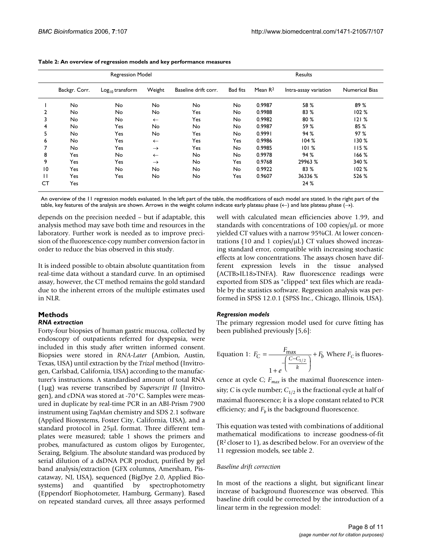|                | <b>Regression Model</b> |                   |               |                      | <b>Results</b>  |            |                       |                       |
|----------------|-------------------------|-------------------|---------------|----------------------|-----------------|------------|-----------------------|-----------------------|
|                | Backgr. Corr.           | $Log10$ transform | Weight        | Baseline drift corr. | <b>Bad fits</b> | Mean $R^2$ | Intra-assay variation | <b>Numerical Bias</b> |
|                | No                      | No                | No.           | No.                  | <b>No</b>       | 0.9987     | 58 %                  | 89%                   |
| $\overline{2}$ | No                      | No                | No.           | Yes                  | No              | 0.9988     | 83 %                  | 102%                  |
| 3              | No                      | No                | $\leftarrow$  | Yes                  | No              | 0.9982     | 80 %                  | 121%                  |
| 4              | No                      | Yes               | No.           | No                   | No.             | 0.9987     | 59 %                  | 85 %                  |
| 5              | No                      | Yes               | <b>No</b>     | Yes                  | <b>No</b>       | 0.9991     | 94 %                  | 97%                   |
| 6              | No                      | Yes               | $\leftarrow$  | Yes                  | Yes             | 0.9986     | 104%                  | 130 %                 |
| 7              | No                      | Yes               | $\rightarrow$ | Yes                  | No              | 0.9985     | 101%                  | 115%                  |
| 8              | Yes                     | No                | $\leftarrow$  | No.                  | No              | 0.9978     | 94 %                  | 166 %                 |
| 9              | Yes                     | Yes               | $\rightarrow$ | No                   | Yes             | 0.9768     | 29963 %               | 340 %                 |
| 10             | Yes                     | No                | No.           | No                   | No.             | 0.9922     | 83 %                  | 102%                  |
| $\mathbf{H}$   | Yes                     | Yes               | No.           | No.                  | Yes             | 0.9607     | 36336 %               | 526 %                 |
| <b>CT</b>      | Yes                     |                   |               |                      |                 |            | 24 %                  |                       |

**Table 2: An overview of regression models and key performance measures**

An overview of the 11 regression models evaluated. In the left part of the table, the modifications of each model are stated. In the right part of the table, key features of the analysis are shown. Arrows in the weight column indicate early plateau phase ( $\leftrightarrow$ ).

depends on the precision needed – but if adaptable, this analysis method may save both time and resources in the laboratory. Further work is needed as to improve precision of the fluorescence-copy number conversion factor in order to reduce the bias observed in this study.

It is indeed possible to obtain absolute quantitation from real-time data without a standard curve. In an optimised assay, however, the CT method remains the gold standard due to the inherent errors of the multiple estimates used in NLR.

### **Methods**

### *RNA extraction*

Forty-four biopsies of human gastric mucosa, collected by endoscopy of outpatients referred for dyspepsia, were included in this study after written informed consent. Biopsies were stored in *RNA-Later* (Ambion, Austin, Texas, USA) until extraction by the *Trizol* method (Invitrogen, Carlsbad, California, USA) according to the manufacturer's instructions. A standardised amount of total RNA (1µg) was reverse transcribed by *Superscript II* (Invitrogen), and cDNA was stored at -70°C. Samples were measured in duplicate by real-time PCR in an ABI-Prism 7900 instrument using *TaqMan* chemistry and SDS 2.1 software (Applied Biosystems, Foster City, California, USA), and a standard protocol in 25µL format. Three different templates were measured; table 1 shows the primers and probes, manufactured as custom oligos by Eurogentec, Seraing, Belgium. The absolute standard was produced by serial dilution of a dsDNA PCR product, purified by gel band analysis/extraction (GFX columns, Amersham, Piscataway, NJ, USA), sequenced (BigDye 2.0, Applied Biosystems) and quantified by spectrophotometry (Eppendorf Biophotometer, Hamburg, Germany). Based on repeated standard curves, all three assays performed

well with calculated mean efficiencies above 1.99, and standards with concentrations of 100 copies/ $\mu$ L or more yielded CT values with a narrow 95%CI. At lower concentrations (10 and 1 copies/ $\mu$ L) CT values showed increasing standard error, compatible with increasing stochastic effects at low concentrations. The assays chosen have different expression levels in the tissue analysed (ACTB>IL18>TNFA). Raw fluorescence readings were exported from SDS as "clipped" text files which are readable by the statistics software. Regression analysis was performed in SPSS 12.0.1 (SPSS Inc., Chicago, Illinois, USA).

### *Regression models*

The primary regression model used for curve fitting has been published previously [5,6]:

Equation 1: 
$$
F_C = \frac{F_{\text{max}}}{1 + e} + F_b
$$
 Where  $F_C$  is fluorescent   
1 +  $e^{-\left(\frac{C - C_{1/2}}{k}\right)}$ 

cence at cycle *C*;  $F_{max}$  is the maximal fluorescence intensity; *C* is cycle number;  $C_{1/2}$  is the fractional cycle at half of maximal fluorescence; *k* is a slope constant related to PCR efficiency; and  $F_b$  is the background fluorescence.

This equation was tested with combinations of additional mathematical modifications to increase goodness-of-fit  $(R<sup>2</sup>$  closer to 1), as described below. For an overview of the 11 regression models, see table 2.

### *Baseline drift correction*

In most of the reactions a slight, but significant linear increase of background fluorescence was observed. This baseline drift could be corrected by the introduction of a linear term in the regression model: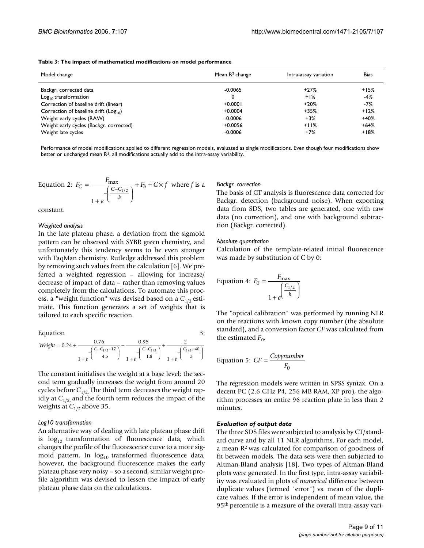| Model change                                | Mean $R^2$ change | Intra-assay variation | <b>Bias</b> |
|---------------------------------------------|-------------------|-----------------------|-------------|
| Backgr. corrected data                      | $-0.0065$         | $+27%$                | $+15%$      |
| $Log10$ transformation                      | 0                 | $+1%$                 | -4%         |
| Correction of baseline drift (linear)       | $+0.0001$         | $+20%$                | -7%         |
| Correction of baseline drift ( $Log_{10}$ ) | $+0.0004$         | $+35%$                | $+12%$      |
| Weight early cycles (RAW)                   | $-0.0006$         | $+3%$                 | $+40%$      |
| Weight early cycles (Backgr. corrected)     | $+0.0056$         | $+11%$                | $+64%$      |
| Weight late cycles                          | $-0.0006$         | +7%                   | $+18%$      |

Performance of model modifications applied to different regression models, evaluated as single modifications. Even though four modifications show better or unchanged mean R<sup>2</sup>, all modifications actually add to the intra-assay variability.

Equation 2:  $F_C = \frac{F_{\text{max}}}{(C_{\text{max}}) + F_b + C \times f}$  where f is a *e*  $F_C = \frac{F_{\text{max}}}{\left(C - C_{1/2}\right)} + F_b + C \times f$ *k*  $=$   $\frac{P_{\text{max}}}{C_{\text{max}}} + F_b$ +  $+F_b+C\times$  $-\left(\frac{C-}{C}\right)$  $\left(\frac{C-C_{1/2}}{k}\right)$ max / 1  $1/2$ 

constant.

#### *Weighted analysis*

In the late plateau phase, a deviation from the sigmoid pattern can be observed with SYBR green chemistry, and unfortunately this tendency seems to be even stronger with TaqMan chemistry. Rutledge addressed this problem by removing such values from the calculation [6]. We preferred a weighted regression – allowing for increase/ decrease of impact of data – rather than removing values completely from the calculations. To automate this process, a "weight function" was devised based on a  $C_{1/2}$  estimate. This function generates a set of weights that is tailored to each specific reaction.

### Equation 3:

$$
\textit{Weight} = 0.24 + \frac{0.76}{1+e^{-\left(\frac{C-C_{1/2}-17}{4.5}\right)}} - \frac{0.95}{1+e^{-\left(\frac{C-C_{1/2}}{1.8}\right)}} + \frac{2}{1+e^{-\left(\frac{C_{1/2}-40}{3}\right)}}
$$

The constant initialises the weight at a base level; the second term gradually increases the weight from around 20 cycles before  $C_{1/2}$ . The third term decreases the weight rapidly at *C*1/2, and the fourth term reduces the impact of the weights at  $C_{1/2}$  above 35.

#### *Log10 transformation*

An alternative way of dealing with late plateau phase drift is  $log_{10}$  transformation of fluorescence data, which changes the profile of the fluorescence curve to a more sigmoid pattern. In  $log_{10}$  transformed fluorescence data, however, the background fluorescence makes the early plateau phase very noisy – so a second, similar weight profile algorithm was devised to lessen the impact of early plateau phase data on the calculations.

#### *Backgr. correction*

The basis of CT analysis is fluorescence data corrected for Backgr. detection (background noise). When exporting data from SDS, two tables are generated, one with raw data (no correction), and one with background subtraction (Backgr. corrected).

#### *Absolute quantitation*

Calculation of the template-related initial fluorescence was made by substitution of C by 0:

Equation 4: 
$$
F_0 = \frac{F_{\text{max}}}{1 + e^{\left(\frac{C_{1/2}}{k}\right)}}
$$

The "optical calibration" was performed by running NLR on the reactions with known copy number (the absolute standard), and a conversion factor *CF* was calculated from the estimated  $F_0$ .

Equation 5: 
$$
CF = \frac{Copynumber}{F_0}
$$

The regression models were written in SPSS syntax. On a decent PC (2.6 GHz P4, 256 MB RAM, XP pro), the algorithm processes an entire 96 reaction plate in less than 2 minutes.

#### *Evaluation of output data*

The three SDS files were subjected to analysis by CT/standard curve and by all 11 NLR algorithms. For each model, a mean R2 was calculated for comparison of goodness of fit between models. The data sets were then subjected to Altman-Bland analysis [18]. Two types of Altman-Bland plots were generated. In the first type, intra-assay variability was evaluated in plots of *numerical* difference between duplicate values (termed "error") vs. mean of the duplicate values. If the error is independent of mean value, the 95th percentile is a measure of the overall intra-assay vari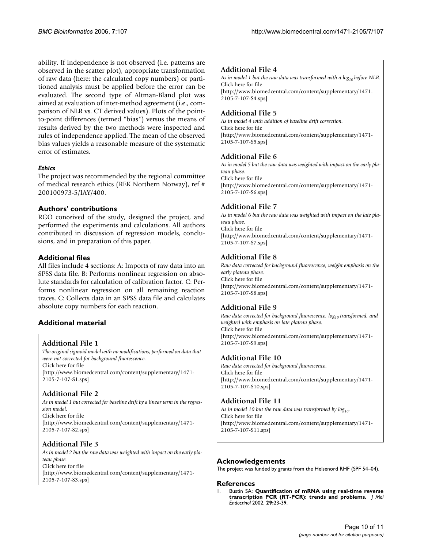ability. If independence is not observed (i.e. patterns are observed in the scatter plot), appropriate transformation of raw data (here: the calculated copy numbers) or partitioned analysis must be applied before the error can be evaluated. The second type of Altman-Bland plot was aimed at evaluation of inter-method agreement (i.e., comparison of NLR vs. CT derived values). Plots of the pointto-point differences (termed "bias") versus the means of results derived by the two methods were inspected and rules of independence applied. The mean of the observed bias values yields a reasonable measure of the systematic error of estimates.

### *Ethics*

The project was recommended by the regional committee of medical research ethics (REK Northern Norway), ref # 200100973-5/IAY/400.

### **Authors' contributions**

RGO conceived of the study, designed the project, and performed the experiments and calculations. All authors contributed in discussion of regression models, conclusions, and in preparation of this paper.

### **Additional files**

All files include 4 sections: A: Imports of raw data into an SPSS data file. B: Performs nonlinear regression on absolute standards for calculation of calibration factor. C: Performs nonlinear regression on all remaining reaction traces. C: Collects data in an SPSS data file and calculates absolute copy numbers for each reaction.

### **Additional material**

### **Additional File 1**

*The original sigmoid model with no modifications, performed on data that were not corrected for background fluorescence.* Click here for file [\[http://www.biomedcentral.com/content/supplementary/1471-](http://www.biomedcentral.com/content/supplementary/1471-2105-7-107-S1.sps) 2105-7-107-S1.sps]

### **Additional File 2**

*As in model 1 but corrected for baseline drift by a linear term in the regression model.* Click here for file [\[http://www.biomedcentral.com/content/supplementary/1471-](http://www.biomedcentral.com/content/supplementary/1471-2105-7-107-S2.sps) 2105-7-107-S2.sps]

### **Additional File 3**

*As in model 2 but the raw data was weighted with impact on the early plateau phase.* Click here for file [\[http://www.biomedcentral.com/content/supplementary/1471-](http://www.biomedcentral.com/content/supplementary/1471-2105-7-107-S3.sps) 2105-7-107-S3.sps]

### **Additional File 4**

As in model 1 but the raw data was transformed with a  $log_{10}$  before NLR. Click here for file [\[http://www.biomedcentral.com/content/supplementary/1471-](http://www.biomedcentral.com/content/supplementary/1471-2105-7-107-S4.sps) 2105-7-107-S4.sps]

### **Additional File 5**

*As in model 4 with addition of baseline drift correction.* Click here for file [\[http://www.biomedcentral.com/content/supplementary/1471-](http://www.biomedcentral.com/content/supplementary/1471-2105-7-107-S5.sps) 2105-7-107-S5.sps]

### **Additional File 6**

*As in model 5 but the raw data was weighted with impact on the early plateau phase.* Click here for file [\[http://www.biomedcentral.com/content/supplementary/1471-](http://www.biomedcentral.com/content/supplementary/1471-2105-7-107-S6.sps) 2105-7-107-S6.sps]

### **Additional File 7**

*As in model 6 but the raw data was weighted with impact on the late plateau phase.* Click here for file [\[http://www.biomedcentral.com/content/supplementary/1471-](http://www.biomedcentral.com/content/supplementary/1471-2105-7-107-S7.sps) 2105-7-107-S7.sps]

### **Additional File 8**

*Raw data corrected for background fluorescence, weight emphasis on the early plateau phase.* Click here for file [\[http://www.biomedcentral.com/content/supplementary/1471-](http://www.biomedcentral.com/content/supplementary/1471-2105-7-107-S8.sps) 2105-7-107-S8.sps]

### **Additional File 9**

*Raw data corrected for background fluorescence, log10 transformed, and weighted with emphasis on late plateau phase.* Click here for file [\[http://www.biomedcentral.com/content/supplementary/1471-](http://www.biomedcentral.com/content/supplementary/1471-2105-7-107-S9.sps) 2105-7-107-S9.sps]

### **Additional File 10**

*Raw data corrected for background fluorescence.* Click here for file [\[http://www.biomedcentral.com/content/supplementary/1471-](http://www.biomedcentral.com/content/supplementary/1471-2105-7-107-S10.sps) 2105-7-107-S10.sps]

### **Additional File 11**

*As in model 10 but the raw data was transformed by log10.* Click here for file [\[http://www.biomedcentral.com/content/supplementary/1471-](http://www.biomedcentral.com/content/supplementary/1471-2105-7-107-S11.sps) 2105-7-107-S11.sps]

### **Acknowledgements**

The project was funded by grants from the Helsenord RHF (SPF 54–04).

### **References**

1. Bustin SA: **[Quantification of mRNA using real-time reverse](http://www.ncbi.nlm.nih.gov/entrez/query.fcgi?cmd=Retrieve&db=PubMed&dopt=Abstract&list_uids=12200227) [transcription PCR \(RT-PCR\): trends and problems.](http://www.ncbi.nlm.nih.gov/entrez/query.fcgi?cmd=Retrieve&db=PubMed&dopt=Abstract&list_uids=12200227)** *J Mol Endocrinol* 2002, **29:**23-39.